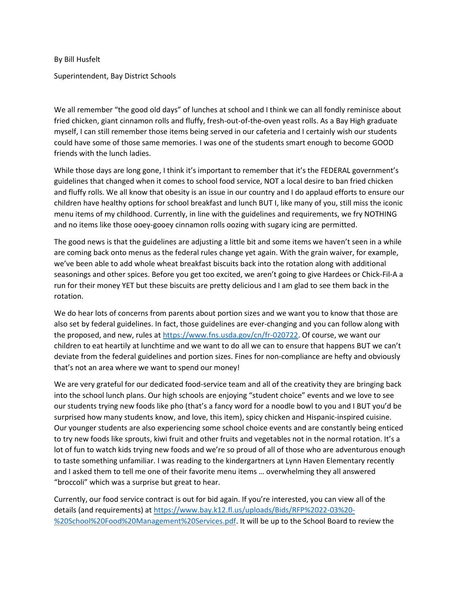By Bill Husfelt

Superintendent, Bay District Schools

We all remember "the good old days" of lunches at school and I think we can all fondly reminisce about fried chicken, giant cinnamon rolls and fluffy, fresh-out-of-the-oven yeast rolls. As a Bay High graduate myself, I can still remember those items being served in our cafeteria and I certainly wish our students could have some of those same memories. I was one of the students smart enough to become GOOD friends with the lunch ladies.

While those days are long gone, I think it's important to remember that it's the FEDERAL government's guidelines that changed when it comes to school food service, NOT a local desire to ban fried chicken and fluffy rolls. We all know that obesity is an issue in our country and I do applaud efforts to ensure our children have healthy options for school breakfast and lunch BUT I, like many of you, still miss the iconic menu items of my childhood. Currently, in line with the guidelines and requirements, we fry NOTHING and no items like those ooey-gooey cinnamon rolls oozing with sugary icing are permitted.

The good news is that the guidelines are adjusting a little bit and some items we haven't seen in a while are coming back onto menus as the federal rules change yet again. With the grain waiver, for example, we've been able to add whole wheat breakfast biscuits back into the rotation along with additional seasonings and other spices. Before you get too excited, we aren't going to give Hardees or Chick-Fil-A a run for their money YET but these biscuits are pretty delicious and I am glad to see them back in the rotation.

We do hear lots of concerns from parents about portion sizes and we want you to know that those are also set by federal guidelines. In fact, those guidelines are ever-changing and you can follow along with the proposed, and new, rules a[t https://www.fns.usda.gov/cn/fr-020722.](https://www.fns.usda.gov/cn/fr-020722) Of course, we want our children to eat heartily at lunchtime and we want to do all we can to ensure that happens BUT we can't deviate from the federal guidelines and portion sizes. Fines for non-compliance are hefty and obviously that's not an area where we want to spend our money!

We are very grateful for our dedicated food-service team and all of the creativity they are bringing back into the school lunch plans. Our high schools are enjoying "student choice" events and we love to see our students trying new foods like pho (that's a fancy word for a noodle bowl to you and I BUT you'd be surprised how many students know, and love, this item), spicy chicken and Hispanic-inspired cuisine. Our younger students are also experiencing some school choice events and are constantly being enticed to try new foods like sprouts, kiwi fruit and other fruits and vegetables not in the normal rotation. It's a lot of fun to watch kids trying new foods and we're so proud of all of those who are adventurous enough to taste something unfamiliar. I was reading to the kindergartners at Lynn Haven Elementary recently and I asked them to tell me one of their favorite menu items … overwhelming they all answered "broccoli" which was a surprise but great to hear.

Currently, our food service contract is out for bid again. If you're interested, you can view all of the details (and requirements) a[t https://www.bay.k12.fl.us/uploads/Bids/RFP%2022-03%20-](https://www.bay.k12.fl.us/uploads/Bids/RFP%2022-03%20-%20School%20Food%20Management%20Services.pdf) [%20School%20Food%20Management%20Services.pdf.](https://www.bay.k12.fl.us/uploads/Bids/RFP%2022-03%20-%20School%20Food%20Management%20Services.pdf) It will be up to the School Board to review the